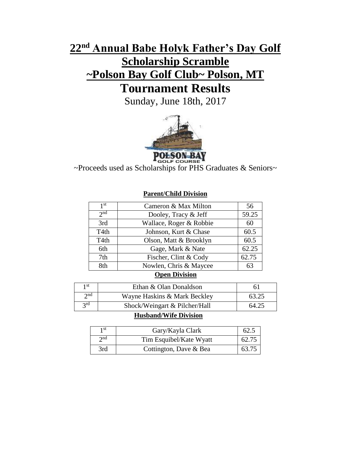## **22 nd Annual Babe Holyk Father's Day Golf Scholarship Scramble ~Polson Bay Golf Club~ Polson, MT Tournament Results**

Sunday, June 18th, 2017



**POLSON BAY**<br>~Proceeds used as Scholarships for PHS Graduates & Seniors~

## **Parent/Child Division**

| 1 <sup>st</sup>  | Cameron & Max Milton    | 56    |
|------------------|-------------------------|-------|
| 2 <sub>nd</sub>  | Dooley, Tracy & Jeff    | 59.25 |
| 3rd              | Wallace, Roger & Robbie | 60    |
| T <sub>4th</sub> | Johnson, Kurt & Chase   | 60.5  |
| T <sub>4th</sub> | Olson, Matt & Brooklyn  | 60.5  |
| 6th              | Gage, Mark & Nate       | 62.25 |
| 7th              | Fischer, Clint & Cody   | 62.75 |
| 8th              | Nowlen, Chris & Maycee  | 63    |
|                  | <b>Open Division</b>    |       |

| 1 St        | Ethan & Olan Donaldson        |       |
|-------------|-------------------------------|-------|
| $\gamma$ nd | Wayne Haskins & Mark Beckley  | 63.25 |
| 2rd         | Shock/Weingart & Pilcher/Hall | 64.25 |

## **Husband/Wife Division**

| 1 st        | Gary/Kayla Clark        | 62.5  |
|-------------|-------------------------|-------|
| $\gamma$ nd | Tim Esquibel/Kate Wyatt | 62.75 |
| 3rd         | Cottington, Dave & Bea  | 63.75 |